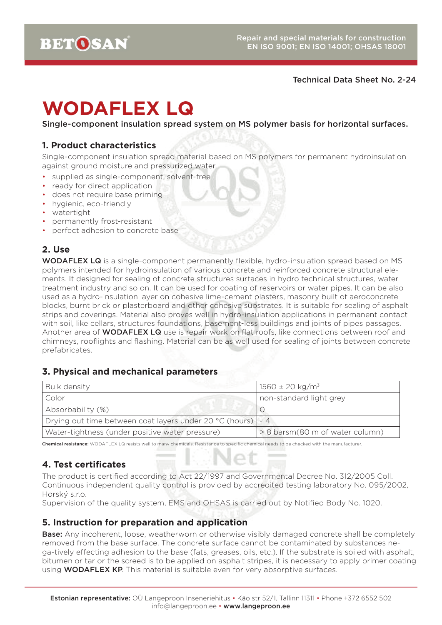#### Technical Data Sheet No. 2-24

# **WODAFLEX LQ**

Single-component insulation spread system on MS polymer basis for horizontal surfaces.

## **1. Product characteristics**

Single-component insulation spread material based on MS polymers for permanent hydroinsulation against ground moisture and pressurized water.

- supplied as single-component, solvent-free
- ready for direct application
- does not require base priming
- hygienic, eco-friendly
- watertight
- permanently frost-resistant
- perfect adhesion to concrete base

# **2. Use**

WODAFLEX LQ is a single-component permanently flexible, hydro-insulation spread based on MS polymers intended for hydroinsulation of various concrete and reinforced concrete structural elements. It designed for sealing of concrete structures surfaces in hydro technical structures, water treatment industry and so on. It can be used for coating of reservoirs or water pipes. It can be also used as a hydro-insulation layer on cohesive lime-cement plasters, masonry built of aeroconcrete blocks, burnt brick or plasterboard and other cohesive substrates. It is suitable for sealing of asphalt strips and coverings. Material also proves well in hydro-insulation applications in permanent contact with soil, like cellars, structures foundations, basement-less buildings and joints of pipes passages. Another area of **WODAFLEX LQ** use is repair work on flat roofs, like connections between roof and chimneys, rooflights and flashing. Material can be as well used for sealing of joints between concrete prefabricates.

#### **3. Physical and mechanical parameters**

| Bulk density                                                  | $1560 \pm 20$ kg/m <sup>3</sup> |
|---------------------------------------------------------------|---------------------------------|
| Color                                                         | non-standard light grey         |
| Absorbability (%)                                             |                                 |
| Drying out time between coat layers under 20 °C (hours)   ~ 4 |                                 |
| Water-tightness (under positive water pressure)               | > 8 barsm(80 m of water column) |

Chemical resistance: WODAFLEX LQ resists well to many chemicals. Resistance to specific chemical needs to be checked with the manufacturer.

# **4. Test certificates**

The product is certified according to Act 22/1997 and Governmental Decree No. 312/2005 Coll. Continuous independent quality control is provided by accredited testing laboratory No. 095/2002, Horský s.r.o.

Supervision of the quality system, EMS and OHSAS is carried out by Notified Body No. 1020.

#### **5. Instruction for preparation and application**

Base: Any incoherent, loose, weatherworn or otherwise visibly damaged concrete shall be completely removed from the base surface. The concrete surface cannot be contaminated by substances nega-tively effecting adhesion to the base (fats, greases, oils, etc.). If the substrate is soiled with asphalt, bitumen or tar or the screed is to be applied on asphalt stripes, it is necessary to apply primer coating using **WODAFLEX KP**. This material is suitable even for very absorptive surfaces.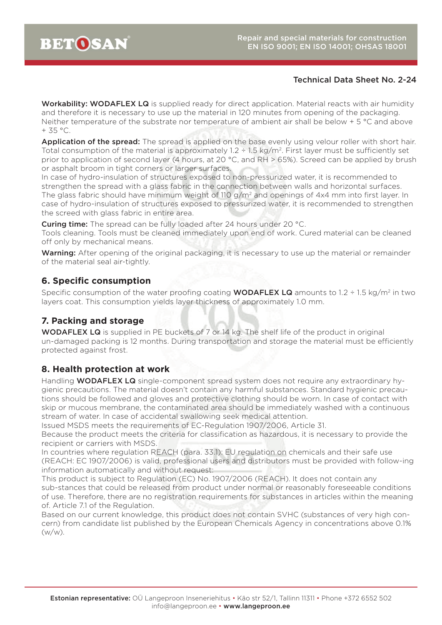#### Technical Data Sheet No. 2-24

Workability: WODAFLEX LQ is supplied ready for direct application. Material reacts with air humidity and therefore it is necessary to use up the material in 120 minutes from opening of the packaging. Neither temperature of the substrate nor temperature of ambient air shall be below + 5 °C and above  $+ 35 °C$ .

Application of the spread: The spread is applied on the base evenly using velour roller with short hair. Total consumption of the material is approximately  $1.2 \div 1.5$  kg/m<sup>2</sup>. First layer must be sufficiently set prior to application of second layer (4 hours, at 20 °C, and RH > 65%). Screed can be applied by brush or asphalt broom in tight corners or larger surfaces.

In case of hydro-insulation of structures exposed to non-pressurized water, it is recommended to strengthen the spread with a glass fabric in the connection between walls and horizontal surfaces. The glass fabric should have minimum weight of 110 g/m<sup>2</sup> and openings of 4x4 mm into first layer. In case of hydro-insulation of structures exposed to pressurized water, it is recommended to strengthen the screed with glass fabric in entire area.

**Curing time:** The spread can be fully loaded after 24 hours under 20 °C.

Tools cleaning. Tools must be cleaned immediately upon end of work. Cured material can be cleaned off only by mechanical means.

Warning: After opening of the original packaging, it is necessary to use up the material or remainder of the material seal air-tightly.

# **6. Specific consumption**

Specific consumption of the water proofing coating **WODAFLEX LQ** amounts to 1.2 ÷ 1.5 kg/m<sup>2</sup> in two layers coat. This consumption yields layer thickness of approximately 1.0 mm.

# **7. Packing and storage**

WODAFLEX LQ is supplied in PE buckets of 7 or 14 kg. The shelf life of the product in original un-damaged packing is 12 months. During transportation and storage the material must be efficiently protected against frost.

# **8. Health protection at work**

Handling **WODAFLEX LQ** single-component spread system does not require any extraordinary hygienic precautions. The material doesn't contain any harmful substances. Standard hygienic precautions should be followed and gloves and protective clothing should be worn. In case of contact with skip or mucous membrane, the contaminated area should be immediately washed with a continuous stream of water. In case of accidental swallowing seek medical attention.

Issued MSDS meets the requirements of EC-Regulation 1907/2006, Article 31.

Because the product meets the criteria for classification as hazardous, it is necessary to provide the recipient or carriers with MSDS.

In countries where regulation REACH (para. 33.1): EU regulation on chemicals and their safe use (REACH: EC 1907/2006) is valid, professional users and distributors must be provided with follow-ing information automatically and without request:

This product is subject to Regulation (EC) No. 1907/2006 (REACH). It does not contain any sub-stances that could be released from product under normal or reasonably foreseeable conditions of use. Therefore, there are no registration requirements for substances in articles within the meaning of. Article 7.1 of the Regulation.

Based on our current knowledge, this product does not contain SVHC (substances of very high concern) from candidate list published by the European Chemicals Agency in concentrations above 0.1% (w/w).